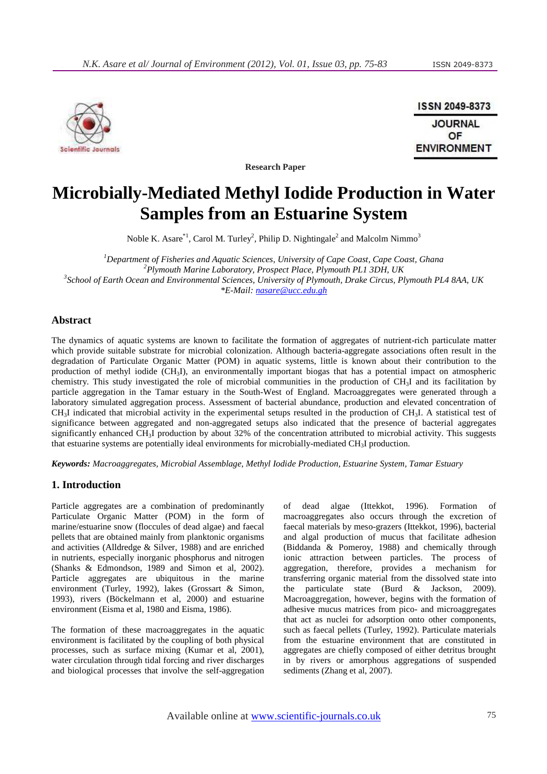

ISSN 2049-8373 **JOURNAL** OF **ENVIRONMENT** 

**Research Paper** 

# **Microbially-Mediated Methyl Iodide Production in Water Samples from an Estuarine System**

Noble K. Asare $^{\ast1}$ , Carol M. Turley<sup>2</sup>, Philip D. Nightingale<sup>2</sup> and Malcolm Nimmo<sup>3</sup>

*Department of Fisheries and Aquatic Sciences, University of Cape Coast, Cape Coast, Ghana Plymouth Marine Laboratory, Prospect Place, Plymouth PL1 3DH, UK School of Earth Ocean and Environmental Sciences, University of Plymouth, Drake Circus, Plymouth PL4 8AA, UK \*E-Mail: nasare@ucc.edu.gh*

## **Abstract**

The dynamics of aquatic systems are known to facilitate the formation of aggregates of nutrient-rich particulate matter which provide suitable substrate for microbial colonization. Although bacteria-aggregate associations often result in the degradation of Particulate Organic Matter (POM) in aquatic systems, little is known about their contribution to the production of methyl iodide (CH3I), an environmentally important biogas that has a potential impact on atmospheric chemistry. This study investigated the role of microbial communities in the production of CH3I and its facilitation by particle aggregation in the Tamar estuary in the South-West of England. Macroaggregates were generated through a laboratory simulated aggregation process. Assessment of bacterial abundance, production and elevated concentration of CH3I indicated that microbial activity in the experimental setups resulted in the production of CH3I. A statistical test of significance between aggregated and non-aggregated setups also indicated that the presence of bacterial aggregates significantly enhanced CH<sub>3</sub>I production by about 32% of the concentration attributed to microbial activity. This suggests that estuarine systems are potentially ideal environments for microbially-mediated CH3I production.

*Keywords: Macroaggregates, Microbial Assemblage, Methyl Iodide Production, Estuarine System, Tamar Estuary* 

## **1. Introduction**

Particle aggregates are a combination of predominantly Particulate Organic Matter (POM) in the form of marine/estuarine snow (floccules of dead algae) and faecal pellets that are obtained mainly from planktonic organisms and activities (Alldredge & Silver, 1988) and are enriched in nutrients, especially inorganic phosphorus and nitrogen (Shanks & Edmondson, 1989 and Simon et al, 2002). Particle aggregates are ubiquitous in the marine environment (Turley, 1992), lakes (Grossart & Simon, 1993), rivers (Böckelmann et al, 2000) and estuarine environment (Eisma et al, 1980 and Eisma, 1986).

The formation of these macroaggregates in the aquatic environment is facilitated by the coupling of both physical processes, such as surface mixing (Kumar et al, 2001), water circulation through tidal forcing and river discharges and biological processes that involve the self-aggregation

of dead algae (Ittekkot, 1996). Formation of macroaggregates also occurs through the excretion of faecal materials by meso-grazers (Ittekkot, 1996), bacterial and algal production of mucus that facilitate adhesion (Biddanda & Pomeroy, 1988) and chemically through ionic attraction between particles. The process of aggregation, therefore, provides a mechanism for transferring organic material from the dissolved state into the particulate state (Burd & Jackson, 2009). Macroaggregation, however, begins with the formation of adhesive mucus matrices from pico- and microaggregates that act as nuclei for adsorption onto other components, such as faecal pellets (Turley, 1992). Particulate materials from the estuarine environment that are constituted in aggregates are chiefly composed of either detritus brought in by rivers or amorphous aggregations of suspended sediments (Zhang et al, 2007).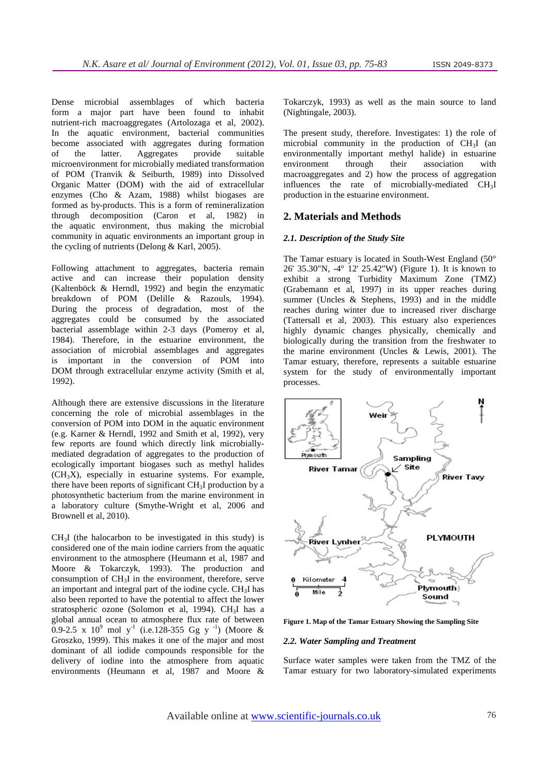Dense microbial assemblages of which bacteria form a major part have been found to inhabit nutrient-rich macroaggregates (Artolozaga et al, 2002). In the aquatic environment, bacterial communities become associated with aggregates during formation of the latter. Aggregates provide suitable microenvironment for microbially mediated transformation of POM (Tranvik & Seiburth, 1989) into Dissolved Organic Matter (DOM) with the aid of extracellular enzymes (Cho & Azam, 1988) whilst biogases are formed as by-products. This is a form of remineralization through decomposition (Caron et al, 1982) in the aquatic environment, thus making the microbial community in aquatic environments an important group in the cycling of nutrients (Delong & Karl, 2005).

Following attachment to aggregates, bacteria remain active and can increase their population density (Kaltenböck & Herndl, 1992) and begin the enzymatic breakdown of POM (Delille & Razouls, 1994). During the process of degradation, most of the aggregates could be consumed by the associated bacterial assemblage within 2-3 days (Pomeroy et al, 1984). Therefore, in the estuarine environment, the association of microbial assemblages and aggregates is important in the conversion of POM into DOM through extracellular enzyme activity (Smith et al, 1992).

Although there are extensive discussions in the literature concerning the role of microbial assemblages in the conversion of POM into DOM in the aquatic environment (e.g. Karner & Herndl, 1992 and Smith et al, 1992), very few reports are found which directly link microbiallymediated degradation of aggregates to the production of ecologically important biogases such as methyl halides  $(CH<sub>3</sub>X)$ , especially in estuarine systems. For example, there have been reports of significant  $CH<sub>3</sub>I$  production by a photosynthetic bacterium from the marine environment in a laboratory culture (Smythe-Wright et al, 2006 and Brownell et al, 2010).

 $CH<sub>3</sub>I$  (the halocarbon to be investigated in this study) is considered one of the main iodine carriers from the aquatic environment to the atmosphere (Heumann et al, 1987 and Moore & Tokarczyk, 1993). The production and consumption of CH3I in the environment, therefore, serve an important and integral part of the iodine cycle. CH3I has also been reported to have the potential to affect the lower stratospheric ozone (Solomon et al, 1994). CH<sub>3</sub>I has a global annual ocean to atmosphere flux rate of between 0.9-2.5 x 10<sup>9</sup> mol y<sup>-1</sup> (i.e.128-355 Gg y<sup>-1</sup>) (Moore & Groszko, 1999). This makes it one of the major and most dominant of all iodide compounds responsible for the delivery of iodine into the atmosphere from aquatic environments (Heumann et al, 1987 and Moore &

Tokarczyk, 1993) as well as the main source to land (Nightingale, 2003).

The present study, therefore. Investigates: 1) the role of microbial community in the production of CH3I (an environmentally important methyl halide) in estuarine environment through their association with macroaggregates and 2) how the process of aggregation influences the rate of microbially-mediated CH3I production in the estuarine environment.

# **2. Materials and Methods**

#### *2.1. Description of the Study Site*

The Tamar estuary is located in South-West England (50° 26' 35.30"N, -4° 12' 25.42"W) (Figure 1). It is known to exhibit a strong Turbidity Maximum Zone (TMZ) (Grabemann et al, 1997) in its upper reaches during summer (Uncles & Stephens, 1993) and in the middle reaches during winter due to increased river discharge (Tattersall et al, 2003). This estuary also experiences highly dynamic changes physically, chemically and biologically during the transition from the freshwater to the marine environment (Uncles & Lewis, 2001). The Tamar estuary, therefore, represents a suitable estuarine system for the study of environmentally important processes.



**Figure 1. Map of the Tamar Estuary Showing the Sampling Site** 

## *2.2. Water Sampling and Treatment*

Surface water samples were taken from the TMZ of the Tamar estuary for two laboratory-simulated experiments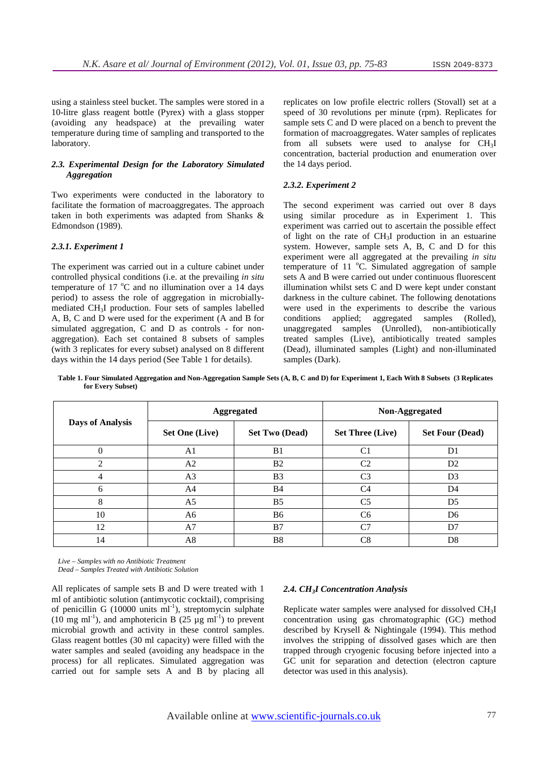using a stainless steel bucket. The samples were stored in a 10-litre glass reagent bottle (Pyrex) with a glass stopper (avoiding any headspace) at the prevailing water temperature during time of sampling and transported to the laboratory.

#### *2.3. Experimental Design for the Laboratory Simulated Aggregation*

Two experiments were conducted in the laboratory to facilitate the formation of macroaggregates. The approach taken in both experiments was adapted from Shanks & Edmondson (1989).

#### *2.3.1. Experiment 1*

The experiment was carried out in a culture cabinet under controlled physical conditions (i.e. at the prevailing *in situ* temperature of 17  $^{\circ}$ C and no illumination over a 14 days period) to assess the role of aggregation in microbiallymediated CH3I production. Four sets of samples labelled A, B, C and D were used for the experiment (A and B for simulated aggregation, C and D as controls - for nonaggregation). Each set contained 8 subsets of samples (with 3 replicates for every subset) analysed on 8 different days within the 14 days period (See Table 1 for details).

replicates on low profile electric rollers (Stovall) set at a speed of 30 revolutions per minute (rpm). Replicates for sample sets C and D were placed on a bench to prevent the formation of macroaggregates. Water samples of replicates from all subsets were used to analyse for CH<sub>3</sub>I concentration, bacterial production and enumeration over the 14 days period.

#### *2.3.2. Experiment 2*

The second experiment was carried out over 8 days using similar procedure as in Experiment 1. This experiment was carried out to ascertain the possible effect of light on the rate of CH3I production in an estuarine system. However, sample sets A, B, C and D for this experiment were all aggregated at the prevailing *in situ* temperature of 11  $^{\circ}$ C. Simulated aggregation of sample sets A and B were carried out under continuous fluorescent illumination whilst sets C and D were kept under constant darkness in the culture cabinet. The following denotations were used in the experiments to describe the various conditions applied; aggregated samples (Rolled), unaggregated samples (Unrolled), non-antibiotically treated samples (Live), antibiotically treated samples (Dead), illuminated samples (Light) and non-illuminated samples (Dark).

**Table 1. Four Simulated Aggregation and Non-Aggregation Sample Sets (A, B, C and D) for Experiment 1, Each With 8 Subsets (3 Replicates for Every Subset)** 

| <b>Days of Analysis</b> | <b>Aggregated</b>     |                       | Non-Aggregated          |                        |
|-------------------------|-----------------------|-----------------------|-------------------------|------------------------|
|                         | <b>Set One (Live)</b> | <b>Set Two (Dead)</b> | <b>Set Three (Live)</b> | <b>Set Four (Dead)</b> |
| 0                       | A <sub>1</sub>        | B <sub>1</sub>        | C <sub>1</sub>          | D1                     |
| $\mathfrak{D}$          | A <sub>2</sub>        | B <sub>2</sub>        | C <sub>2</sub>          | D <sub>2</sub>         |
| 4                       | A <sub>3</sub>        | B <sub>3</sub>        | C <sub>3</sub>          | D <sub>3</sub>         |
| 6                       | A4                    | <b>B4</b>             | C <sub>4</sub>          | D <sub>4</sub>         |
| 8                       | A <sub>5</sub>        | B <sub>5</sub>        | C <sub>5</sub>          | D <sub>5</sub>         |
| 10                      | A6                    | <b>B6</b>             | C <sub>6</sub>          | D <sub>6</sub>         |
| 12                      | A7                    | B7                    | C <sub>7</sub>          | D7                     |
| 14                      | A8                    | B8                    | C8                      | D <sub>8</sub>         |

*Live – Samples with no Antibiotic Treatment Dead – Samples Treated with Antibiotic Solution* 

All replicates of sample sets B and D were treated with 1 ml of antibiotic solution (antimycotic cocktail), comprising of penicillin G (10000 units  $ml^{-1}$ ), streptomycin sulphate (10 mg ml<sup>-1</sup>), and amphotericin B (25  $\mu$ g ml<sup>-1</sup>) to prevent microbial growth and activity in these control samples. Glass reagent bottles (30 ml capacity) were filled with the water samples and sealed (avoiding any headspace in the process) for all replicates. Simulated aggregation was

carried out for sample sets A and B by placing all

#### *2.4. CH3I Concentration Analysis*

Replicate water samples were analysed for dissolved CH3I concentration using gas chromatographic (GC) method described by Krysell & Nightingale (1994). This method involves the stripping of dissolved gases which are then trapped through cryogenic focusing before injected into a GC unit for separation and detection (electron capture detector was used in this analysis).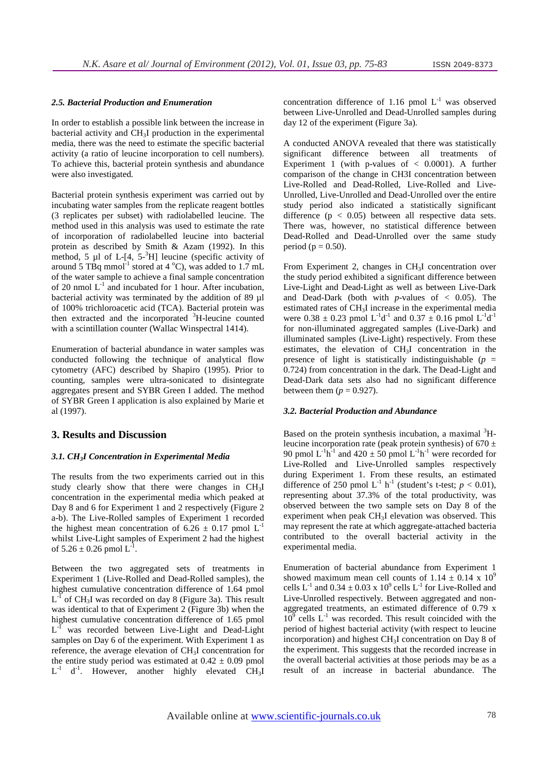#### *2.5. Bacterial Production and Enumeration*

In order to establish a possible link between the increase in bacterial activity and CH3I production in the experimental media, there was the need to estimate the specific bacterial activity (a ratio of leucine incorporation to cell numbers). To achieve this, bacterial protein synthesis and abundance were also investigated.

Bacterial protein synthesis experiment was carried out by incubating water samples from the replicate reagent bottles (3 replicates per subset) with radiolabelled leucine. The method used in this analysis was used to estimate the rate of incorporation of radiolabelled leucine into bacterial protein as described by Smith & Azam (1992). In this method, 5  $\mu$ l of L-[4, 5-<sup>3</sup>H] leucine (specific activity of around 5 TBq mmol<sup>-1</sup> stored at 4  $^{\circ}$ C), was added to 1.7 mL of the water sample to achieve a final sample concentration of 20 nmol  $L^{-1}$  and incubated for 1 hour. After incubation, bacterial activity was terminated by the addition of 89 µl of 100% trichloroacetic acid (TCA). Bacterial protein was then extracted and the incorporated <sup>3</sup>H-leucine counted with a scintillation counter (Wallac Winspectral 1414).

Enumeration of bacterial abundance in water samples was conducted following the technique of analytical flow cytometry (AFC) described by Shapiro (1995). Prior to counting, samples were ultra-sonicated to disintegrate aggregates present and SYBR Green I added. The method of SYBR Green I application is also explained by Marie et al (1997).

#### **3. Results and Discussion**

#### *3.1. CH3I Concentration in Experimental Media*

The results from the two experiments carried out in this study clearly show that there were changes in CH3I concentration in the experimental media which peaked at Day 8 and 6 for Experiment 1 and 2 respectively (Figure 2 a-b). The Live-Rolled samples of Experiment 1 recorded the highest mean concentration of 6.26  $\pm$  0.17 pmol L<sup>-1</sup> whilst Live-Light samples of Experiment 2 had the highest of  $5.26 \pm 0.26$  pmol  $L^{-1}$ .

Between the two aggregated sets of treatments in Experiment 1 (Live-Rolled and Dead-Rolled samples), the highest cumulative concentration difference of 1.64 pmol  $L^{-1}$  of CH<sub>3</sub>I was recorded on day 8 (Figure 3a). This result was identical to that of Experiment 2 (Figure 3b) when the highest cumulative concentration difference of 1.65 pmol  $L^{-1}$  was recorded between Live-Light and Dead-Light samples on Day 6 of the experiment. With Experiment 1 as reference, the average elevation of CH3I concentration for the entire study period was estimated at  $0.42 \pm 0.09$  pmol  $L^{-1}$  d<sup>-1</sup>. However, another highly elevated CH<sub>3</sub>I concentration difference of 1.16 pmol  $L^{-1}$  was observed between Live-Unrolled and Dead-Unrolled samples during day 12 of the experiment (Figure 3a).

A conducted ANOVA revealed that there was statistically significant difference between all treatments of Experiment 1 (with p-values of  $< 0.0001$ ). A further comparison of the change in CH3I concentration between Live-Rolled and Dead-Rolled, Live-Rolled and Live-Unrolled, Live-Unrolled and Dead-Unrolled over the entire study period also indicated a statistically significant difference  $(p < 0.05)$  between all respective data sets. There was, however, no statistical difference between Dead-Rolled and Dead-Unrolled over the same study period ( $p = 0.50$ ).

From Experiment 2, changes in CH3I concentration over the study period exhibited a significant difference between Live-Light and Dead-Light as well as between Live-Dark and Dead-Dark (both with  $p$ -values of  $< 0.05$ ). The estimated rates of CH3I increase in the experimental media were  $0.38 \pm 0.23$  pmol  $L^{-1}d^{-1}$  and  $0.37 \pm 0.16$  pmol  $L^{-1}d^{-1}$ for non-illuminated aggregated samples (Live-Dark) and illuminated samples (Live-Light) respectively. From these estimates, the elevation of CH3I concentration in the presence of light is statistically indistinguishable  $(p =$ 0.724) from concentration in the dark. The Dead-Light and Dead-Dark data sets also had no significant difference between them  $(p = 0.927)$ .

#### *3.2. Bacterial Production and Abundance*

Based on the protein synthesis incubation, a maximal  ${}^{3}H$ leucine incorporation rate (peak protein synthesis) of  $670 \pm$ 90 pmol  $L^{-1}h^{-1}$  and 420  $\pm$  50 pmol  $L^{-1}h^{-1}$  were recorded for Live-Rolled and Live-Unrolled samples respectively during Experiment 1. From these results, an estimated difference of 250 pmol  $L^{-1}$  h<sup>-1</sup> (student's t-test;  $p < 0.01$ ), representing about 37.3% of the total productivity, was observed between the two sample sets on Day 8 of the experiment when peak CH<sub>3</sub>I elevation was observed. This may represent the rate at which aggregate-attached bacteria contributed to the overall bacterial activity in the experimental media.

Enumeration of bacterial abundance from Experiment 1 showed maximum mean cell counts of  $1.14 \pm 0.14 \times 10^9$ cells  $L^{-1}$  and  $0.34 \pm 0.03$  x  $10^9$  cells  $L^{-1}$  for Live-Rolled and Live-Unrolled respectively. Between aggregated and nonaggregated treatments, an estimated difference of 0.79 x  $10<sup>9</sup>$  cells L<sup>-1</sup> was recorded. This result coincided with the period of highest bacterial activity (with respect to leucine incorporation) and highest CH3I concentration on Day 8 of the experiment. This suggests that the recorded increase in the overall bacterial activities at those periods may be as a result of an increase in bacterial abundance. The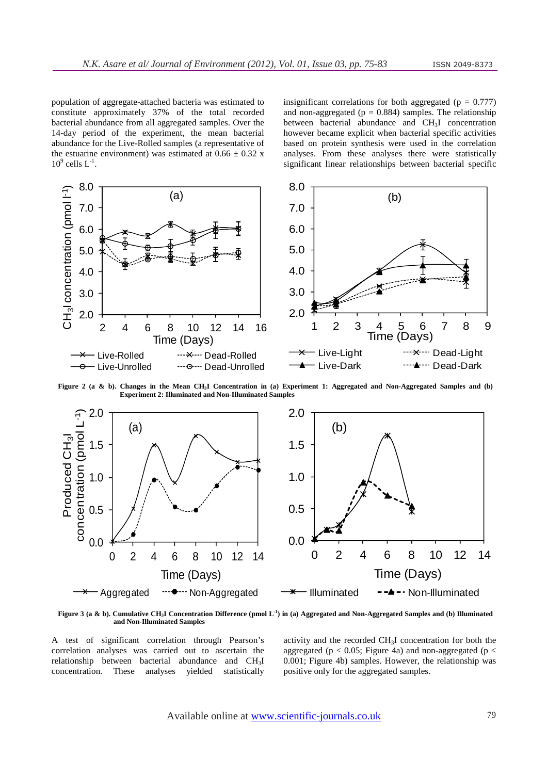population of aggregate-attached bacteria was estimated to constitute approximately 37% of the total recorded bacterial abundance from all aggregated samples. Over the 14-day period of the experiment, the mean bacterial abundance for the Live-Rolled samples (a representative of the estuarine environment) was estimated at  $0.66 \pm 0.32$  x  $10^9$  cells  $L^{-1}$ .

insignificant correlations for both aggregated ( $p = 0.777$ ) and non-aggregated ( $p = 0.884$ ) samples. The relationship between bacterial abundance and CH3I concentration however became explicit when bacterial specific activities based on protein synthesis were used in the correlation analyses. From these analyses there were statistically significant linear relationships between bacterial specific



**Figure 2 (a & b). Changes in the Mean CH3I Concentration in (a) Experiment 1: Aggregated and Non-Aggregated Samples and (b) Experiment 2: Illuminated and Non-Illuminated Samples** 



**Figure 3 (a & b). Cumulative CH3I Concentration Difference (pmol L-1) in (a) Aggregated and Non-Aggregated Samples and (b) Illuminated and Non-Illuminated Samples** 

A test of significant correlation through Pearson's correlation analyses was carried out to ascertain the relationship between bacterial abundance and CH3I concentration. These analyses yielded statistically

activity and the recorded CH3I concentration for both the aggregated ( $p < 0.05$ ; Figure 4a) and non-aggregated ( $p <$ 0.001; Figure 4b) samples. However, the relationship was positive only for the aggregated samples.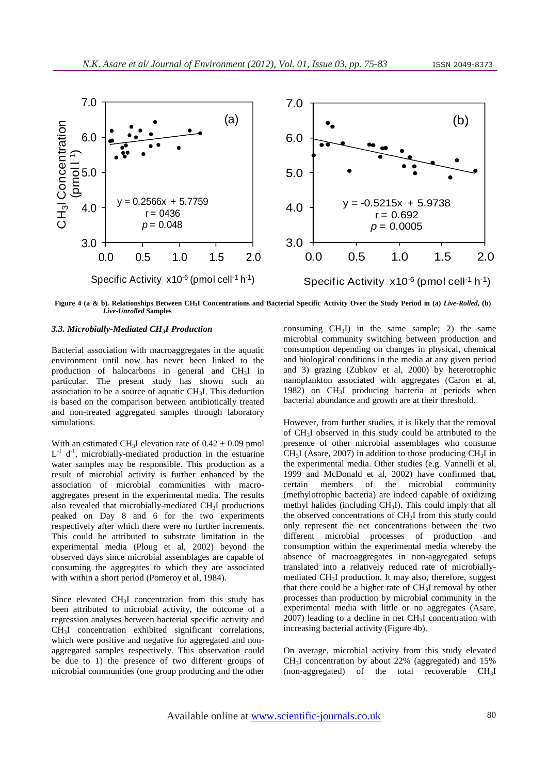

**Figure 4 (a & b). Relationships Between CH3I Concentrations and Bacterial Specific Activity Over the Study Period in (a)** *Live-Rolled***, (b)**  *Live-Unrolled* **Samples** 

### *3.3. Microbially-Mediated CH3I Production*

Bacterial association with macroaggregates in the aquatic environment until now has never been linked to the production of halocarbons in general and CH3I in particular. The present study has shown such an association to be a source of aquatic CH3I. This deduction is based on the comparison between antibiotically treated and non-treated aggregated samples through laboratory simulations.

With an estimated CH<sub>3</sub>I elevation rate of  $0.42 \pm 0.09$  pmol  $L^{-1}$  d<sup>-1</sup>, microbially-mediated production in the estuarine water samples may be responsible. This production as a result of microbial activity is further enhanced by the association of microbial communities with macroaggregates present in the experimental media. The results also revealed that microbially-mediated CH3I productions peaked on Day 8 and 6 for the two experiments respectively after which there were no further increments. This could be attributed to substrate limitation in the experimental media (Ploug et al, 2002) beyond the observed days since microbial assemblages are capable of consuming the aggregates to which they are associated with within a short period (Pomeroy et al, 1984).

Since elevated CH3I concentration from this study has been attributed to microbial activity, the outcome of a regression analyses between bacterial specific activity and CH3I concentration exhibited significant correlations, which were positive and negative for aggregated and nonaggregated samples respectively. This observation could be due to 1) the presence of two different groups of microbial communities (one group producing and the other consuming  $CH<sub>3</sub>I$ ) in the same sample; 2) the same microbial community switching between production and consumption depending on changes in physical, chemical and biological conditions in the media at any given period and 3) grazing (Zubkov et al, 2000) by heterotrophic nanoplankton associated with aggregates (Caron et al, 1982) on CH3I producing bacteria at periods when bacterial abundance and growth are at their threshold.

However, from further studies, it is likely that the removal of CH3I observed in this study could be attributed to the presence of other microbial assemblages who consume  $CH<sub>3</sub>I$  (Asare, 2007) in addition to those producing  $CH<sub>3</sub>I$  in the experimental media. Other studies (e.g. Vannelli et al, 1999 and McDonald et al, 2002) have confirmed that, certain members of the microbial community (methylotrophic bacteria) are indeed capable of oxidizing methyl halides (including  $CH<sub>3</sub>I$ ). This could imply that all the observed concentrations of CH3I from this study could only represent the net concentrations between the two different microbial processes of production and consumption within the experimental media whereby the absence of macroaggregates in non-aggregated setups translated into a relatively reduced rate of microbiallymediated CH3I production. It may also, therefore, suggest that there could be a higher rate of CH3I removal by other processes than production by microbial community in the experimental media with little or no aggregates (Asare,  $2007$ ) leading to a decline in net  $CH<sub>3</sub>I$  concentration with increasing bacterial activity (Figure 4b).

On average, microbial activity from this study elevated  $CH<sub>3</sub>I$  concentration by about 22% (aggregated) and 15% (non-aggregated) of the total recoverable  $CH<sub>3</sub>I$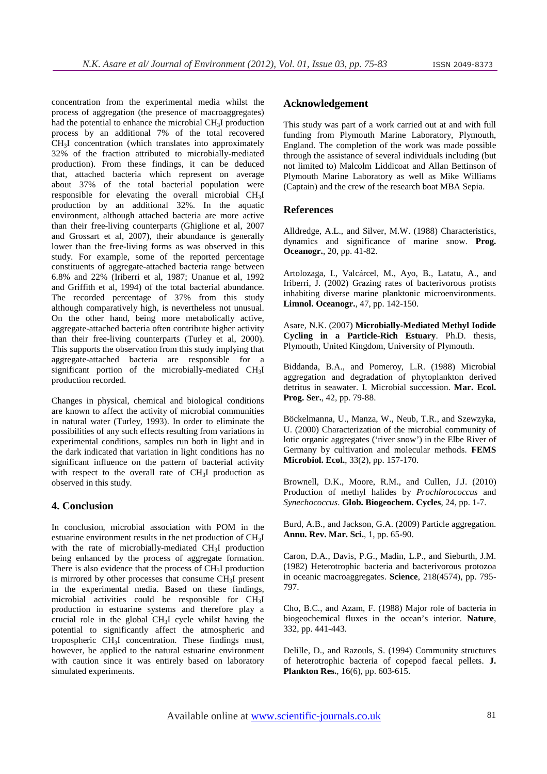concentration from the experimental media whilst the process of aggregation (the presence of macroaggregates) had the potential to enhance the microbial CH3I production process by an additional 7% of the total recovered CH3I concentration (which translates into approximately 32% of the fraction attributed to microbially-mediated production). From these findings, it can be deduced that, attached bacteria which represent on average about 37% of the total bacterial population were responsible for elevating the overall microbial CH3I production by an additional 32%. In the aquatic environment, although attached bacteria are more active than their free-living counterparts (Ghiglione et al, 2007 and Grossart et al, 2007), their abundance is generally lower than the free-living forms as was observed in this study. For example, some of the reported percentage constituents of aggregate-attached bacteria range between 6.8% and 22% (Iriberri et al, 1987; Unanue et al, 1992 and Griffith et al, 1994) of the total bacterial abundance. The recorded percentage of 37% from this study although comparatively high, is nevertheless not unusual. On the other hand, being more metabolically active, aggregate-attached bacteria often contribute higher activity than their free-living counterparts (Turley et al, 2000). This supports the observation from this study implying that aggregate-attached bacteria are responsible for a significant portion of the microbially-mediated CH<sub>3</sub>I production recorded.

Changes in physical, chemical and biological conditions are known to affect the activity of microbial communities in natural water (Turley, 1993). In order to eliminate the possibilities of any such effects resulting from variations in experimental conditions, samples run both in light and in the dark indicated that variation in light conditions has no significant influence on the pattern of bacterial activity with respect to the overall rate of CH<sub>3</sub>I production as observed in this study.

#### **4. Conclusion**

In conclusion, microbial association with POM in the estuarine environment results in the net production of CH3I with the rate of microbially-mediated CH<sub>3</sub>I production being enhanced by the process of aggregate formation. There is also evidence that the process of CH3I production is mirrored by other processes that consume CH3I present in the experimental media. Based on these findings, microbial activities could be responsible for CH3I production in estuarine systems and therefore play a crucial role in the global CH3I cycle whilst having the potential to significantly affect the atmospheric and tropospheric CH3I concentration. These findings must, however, be applied to the natural estuarine environment with caution since it was entirely based on laboratory simulated experiments.

## **Acknowledgement**

This study was part of a work carried out at and with full funding from Plymouth Marine Laboratory, Plymouth, England. The completion of the work was made possible through the assistance of several individuals including (but not limited to) Malcolm Liddicoat and Allan Bettinson of Plymouth Marine Laboratory as well as Mike Williams (Captain) and the crew of the research boat MBA Sepia.

#### **References**

Alldredge, A.L., and Silver, M.W. (1988) Characteristics, dynamics and significance of marine snow. **Prog. Oceanogr.**, 20, pp. 41-82.

Artolozaga, I., Valcárcel, M., Ayo, B., Latatu, A., and Iriberri, J. (2002) Grazing rates of bacterivorous protists inhabiting diverse marine planktonic microenvironments. **Limnol. Oceanogr.**, 47, pp. 142-150.

Asare, N.K. (2007) **Microbially-Mediated Methyl Iodide Cycling in a Particle-Rich Estuary**. Ph.D. thesis, Plymouth, United Kingdom, University of Plymouth.

Biddanda, B.A., and Pomeroy, L.R. (1988) Microbial aggregation and degradation of phytoplankton derived detritus in seawater. I. Microbial succession. **Mar. Ecol. Prog. Ser.**, 42, pp. 79-88.

Böckelmanna, U., Manza, W., Neub, T.R., and Szewzyka, U. (2000) Characterization of the microbial community of lotic organic aggregates ('river snow') in the Elbe River of Germany by cultivation and molecular methods. **FEMS Microbiol. Ecol.**, 33(2), pp. 157-170.

Brownell, D.K., Moore, R.M., and Cullen, J.J. (2010) Production of methyl halides by *Prochlorococcus* and *Synechococcus*. **Glob. Biogeochem. Cycles**, 24, pp. 1-7.

Burd, A.B., and Jackson, G.A. (2009) Particle aggregation. **Annu. Rev. Mar. Sci.**, 1, pp. 65-90.

Caron, D.A., Davis, P.G., Madin, L.P., and Sieburth, J.M. (1982) Heterotrophic bacteria and bacterivorous protozoa in oceanic macroaggregates. **Science**, 218(4574), pp. 795- 797.

Cho, B.C., and Azam, F. (1988) Major role of bacteria in biogeochemical fluxes in the ocean's interior. **Nature**, 332, pp. 441-443.

Delille, D., and Razouls, S. (1994) Community structures of heterotrophic bacteria of copepod faecal pellets. **J. Plankton Res.**, 16(6), pp. 603-615.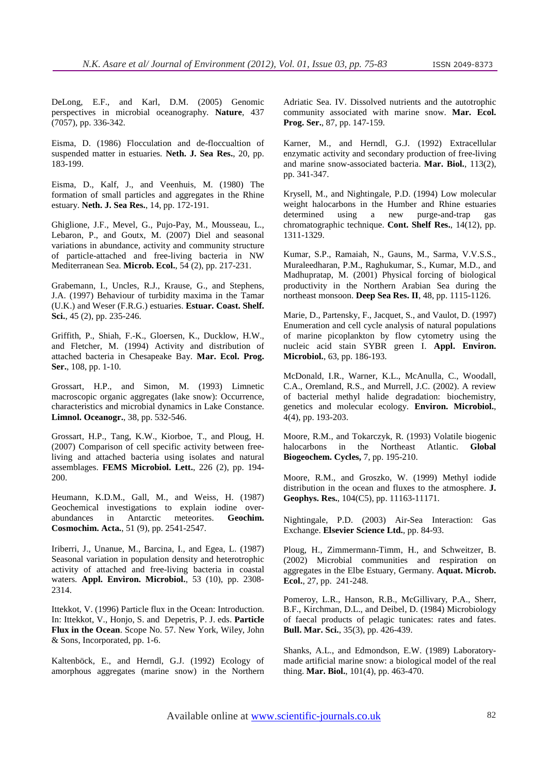DeLong, E.F., and Karl, D.M. (2005) Genomic perspectives in microbial oceanography. **Nature**, 437 (7057), pp. 336-342.

Eisma, D. (1986) Flocculation and de-floccualtion of suspended matter in estuaries. **Neth. J. Sea Res.**, 20, pp. 183-199.

Eisma, D., Kalf, J., and Veenhuis, M. (1980) The formation of small particles and aggregates in the Rhine estuary. **Neth. J. Sea Res.**, 14, pp. 172-191.

Ghiglione, J.F., Mevel, G., Pujo-Pay, M., Mousseau, L., Lebaron, P., and Goutx, M. (2007) Diel and seasonal variations in abundance, activity and community structure of particle-attached and free-living bacteria in NW Mediterranean Sea. **Microb. Ecol.**, 54 (2), pp. 217-231.

Grabemann, I., Uncles, R.J., Krause, G., and Stephens, J.A. (1997) Behaviour of turbidity maxima in the Tamar (U.K.) and Weser (F.R.G.) estuaries. **Estuar. Coast. Shelf. Sci.**, 45 (2), pp. 235-246.

Griffith, P., Shiah, F.-K., Gloersen, K., Ducklow, H.W., and Fletcher, M. (1994) Activity and distribution of attached bacteria in Chesapeake Bay. **Mar. Ecol. Prog. Ser.**, 108, pp. 1-10.

Grossart, H.P., and Simon, M. (1993) Limnetic macroscopic organic aggregates (lake snow): Occurrence, characteristics and microbial dynamics in Lake Constance. **Limnol. Oceanogr.**, 38, pp. 532-546.

Grossart, H.P., Tang, K.W., Kiorboe, T., and Ploug, H. (2007) Comparison of cell specific activity between freeliving and attached bacteria using isolates and natural assemblages. **FEMS Microbiol. Lett.**, 226 (2), pp. 194- 200.

Heumann, K.D.M., Gall, M., and Weiss, H. (1987) Geochemical investigations to explain iodine overabundances in Antarctic meteorites. **Geochim. Cosmochim. Acta.**, 51 (9), pp. 2541-2547.

Iriberri, J., Unanue, M., Barcina, I., and Egea, L. (1987) Seasonal variation in population density and heterotrophic activity of attached and free-living bacteria in coastal waters. **Appl. Environ. Microbiol.**, 53 (10), pp. 2308- 2314.

Ittekkot, V. (1996) Particle flux in the Ocean: Introduction. In: Ittekkot, V., Honjo, S. and Depetris, P. J. eds. **Particle Flux in the Ocean**. Scope No. 57. New York, Wiley, John & Sons, Incorporated, pp. 1-6.

Kaltenböck, E., and Herndl, G.J. (1992) Ecology of amorphous aggregates (marine snow) in the Northern

Adriatic Sea. IV. Dissolved nutrients and the autotrophic community associated with marine snow. **Mar. Ecol. Prog. Ser.**, 87, pp. 147-159.

Karner, M., and Herndl, G.J. (1992) Extracellular enzymatic activity and secondary production of free-living and marine snow-associated bacteria. **Mar. Biol.**, 113(2), pp. 341-347.

Krysell, M., and Nightingale, P.D. (1994) Low molecular weight halocarbons in the Humber and Rhine estuaries determined using a new purge-and-trap gas chromatographic technique. **Cont. Shelf Res.**, 14(12), pp. 1311-1329.

Kumar, S.P., Ramaiah, N., Gauns, M., Sarma, V.V.S.S., Muraleedharan, P.M., Raghukumar, S., Kumar, M.D., and Madhupratap, M. (2001) Physical forcing of biological productivity in the Northern Arabian Sea during the northeast monsoon. **Deep Sea Res. II**, 48, pp. 1115-1126.

Marie, D., Partensky, F., Jacquet, S., and Vaulot, D. (1997) Enumeration and cell cycle analysis of natural populations of marine picoplankton by flow cytometry using the nucleic acid stain SYBR green I. **Appl. Environ. Microbiol.**, 63, pp. 186-193.

McDonald, I.R., Warner, K.L., McAnulla, C., Woodall, C.A., Oremland, R.S., and Murrell, J.C. (2002). A review of bacterial methyl halide degradation: biochemistry, genetics and molecular ecology. **Environ. Microbiol.**, 4(4), pp. 193-203.

Moore, R.M., and Tokarczyk, R. (1993) Volatile biogenic halocarbons in the Northeast Atlantic. **Global Biogeochem. Cycles,** 7, pp. 195-210.

Moore, R.M., and Groszko, W. (1999) Methyl iodide distribution in the ocean and fluxes to the atmosphere. **J. Geophys. Res.**, 104(C5), pp. 11163-11171.

Nightingale, P.D. (2003) Air-Sea Interaction: Gas Exchange. **Elsevier Science Ltd.**, pp. 84-93.

Ploug, H., Zimmermann-Timm, H., and Schweitzer, B. (2002) Microbial communities and respiration on aggregates in the Elbe Estuary, Germany. **Aquat. Microb. Ecol.**, 27, pp. 241-248.

Pomeroy, L.R., Hanson, R.B., McGillivary, P.A., Sherr, B.F., Kirchman, D.L., and Deibel, D. (1984) Microbiology of faecal products of pelagic tunicates: rates and fates. **Bull. Mar. Sci.**, 35(3), pp. 426-439.

Shanks, A.L., and Edmondson, E.W. (1989) Laboratorymade artificial marine snow: a biological model of the real thing. **Mar. Biol.**, 101(4), pp. 463-470.

Available online at www.scientific-journals.co.uk 82